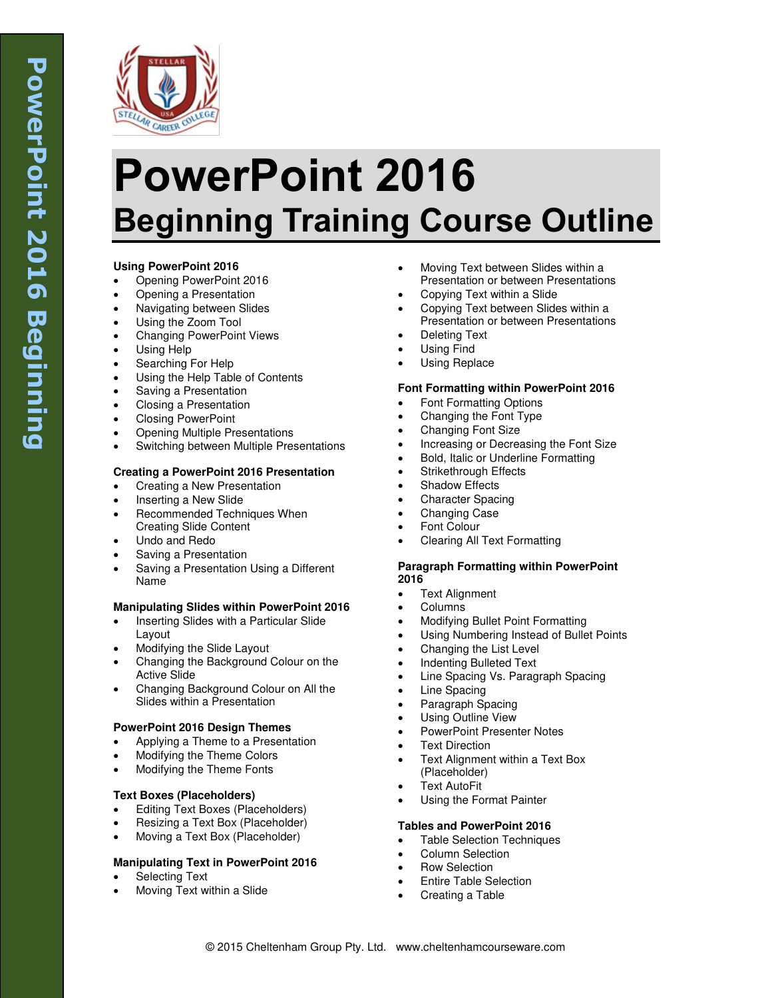

# **PowerPoint 2016 Beginning Training Course Outline**

# **Using PowerPoint 2016**

- Opening PowerPoint 2016
- Opening a Presentation
- Navigating between Slides
- Using the Zoom Tool
- Changing PowerPoint Views
- Using Help
- Searching For Help
- Using the Help Table of Contents
- Saving a Presentation
- Closing a Presentation
- Closing PowerPoint
- Opening Multiple Presentations
- Switching between Multiple Presentations

# **Creating a PowerPoint 2016 Presentation**

- Creating a New Presentation
- Inserting a New Slide
- Recommended Techniques When Creating Slide Content
- Undo and Redo
- Saving a Presentation
- Saving a Presentation Using a Different Name

# **Manipulating Slides within PowerPoint 2016**

- Inserting Slides with a Particular Slide Layout
- Modifying the Slide Layout
- Changing the Background Colour on the Active Slide
- Changing Background Colour on All the Slides within a Presentation

#### **PowerPoint 2016 Design Themes**

- Applying a Theme to a Presentation
- Modifying the Theme Colors
- Modifying the Theme Fonts

# **Text Boxes (Placeholders)**

- Editing Text Boxes (Placeholders)
- Resizing a Text Box (Placeholder)
- Moving a Text Box (Placeholder)

# **Manipulating Text in PowerPoint 2016**

- Selecting Text
- Moving Text within a Slide
- Moving Text between Slides within a Presentation or between Presentations
- Copying Text within a Slide
- Copying Text between Slides within a Presentation or between Presentations
- Deleting Text
- Using Find
- Using Replace

# **Font Formatting within PowerPoint 2016**

- Font Formatting Options
- Changing the Font Type
- Changing Font Size
- Increasing or Decreasing the Font Size
- Bold, Italic or Underline Formatting
- Strikethrough Effects
- Shadow Effects
- Character Spacing
- Changing Case
- Font Colour
- Clearing All Text Formatting

#### **Paragraph Formatting within PowerPoint 2016**

- Text Alignment
- Columns
- Modifying Bullet Point Formatting
- Using Numbering Instead of Bullet Points
- Changing the List Level
- Indenting Bulleted Text
- Line Spacing Vs. Paragraph Spacing
- Line Spacing
- Paragraph Spacing
- Using Outline View
- PowerPoint Presenter Notes
- Text Direction
- Text Alignment within a Text Box (Placeholder)
- Text AutoFit
- Using the Format Painter

# **Tables and PowerPoint 2016**

- Table Selection Techniques
- Column Selection
- Row Selection
- Entire Table Selection
- Creating a Table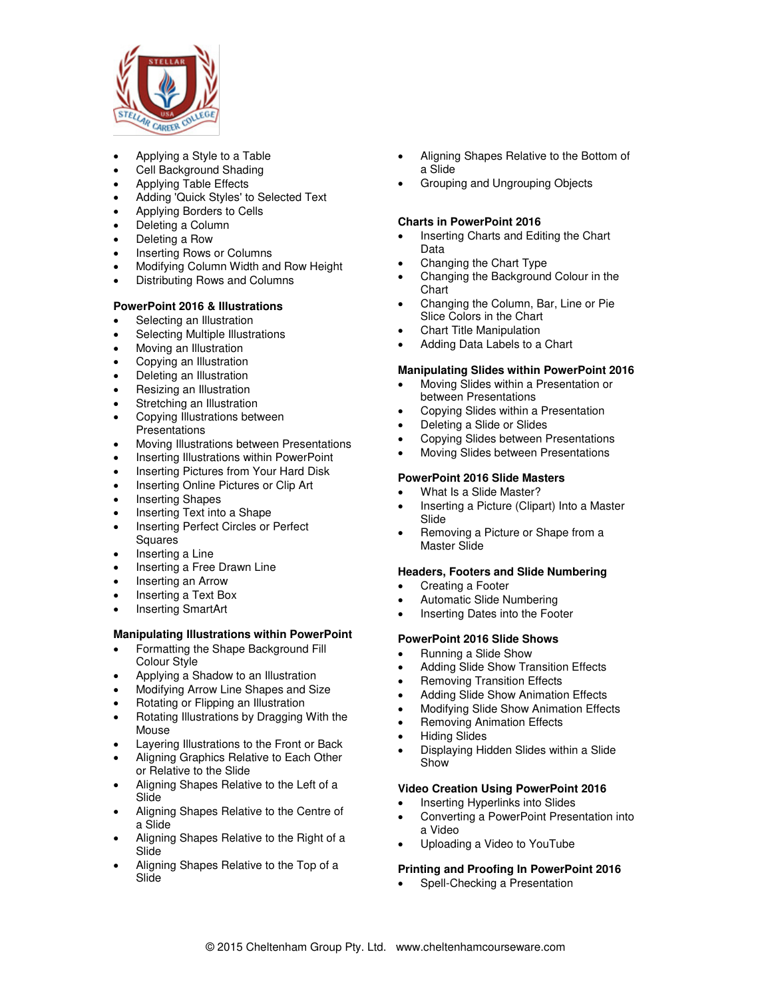

- Applying a Style to a Table
- Cell Background Shading
- Applying Table Effects
- Adding 'Quick Styles' to Selected Text
- Applying Borders to Cells
- Deleting a Column
- Deleting a Row
- Inserting Rows or Columns
- Modifying Column Width and Row Height
- Distributing Rows and Columns

# **PowerPoint 2016 & Illustrations**

- Selecting an Illustration
- Selecting Multiple Illustrations
- Moving an Illustration
- Copying an Illustration
- Deleting an Illustration
- Resizing an Illustration
- Stretching an Illustration
- Copying Illustrations between
- **Presentations**
- Moving Illustrations between Presentations
- Inserting Illustrations within PowerPoint
- Inserting Pictures from Your Hard Disk
- Inserting Online Pictures or Clip Art
- Inserting Shapes
- Inserting Text into a Shape
- Inserting Perfect Circles or Perfect **Squares**
- Inserting a Line
- Inserting a Free Drawn Line
- Inserting an Arrow
- Inserting a Text Box
- Inserting SmartArt

# **Manipulating Illustrations within PowerPoint**

- Formatting the Shape Background Fill Colour Style
- Applying a Shadow to an Illustration
- Modifying Arrow Line Shapes and Size
- Rotating or Flipping an Illustration
- Rotating Illustrations by Dragging With the Mouse
- Layering Illustrations to the Front or Back
- Aligning Graphics Relative to Each Other or Relative to the Slide
- Aligning Shapes Relative to the Left of a Slide
- Aligning Shapes Relative to the Centre of a Slide
- Aligning Shapes Relative to the Right of a Slide
- Aligning Shapes Relative to the Top of a Slide
- Aligning Shapes Relative to the Bottom of a Slide
- Grouping and Ungrouping Objects

# **Charts in PowerPoint 2016**

- Inserting Charts and Editing the Chart Data
- Changing the Chart Type
- Changing the Background Colour in the **Chart**
- Changing the Column, Bar, Line or Pie Slice Colors in the Chart
- Chart Title Manipulation
- Adding Data Labels to a Chart

# **Manipulating Slides within PowerPoint 2016**

- Moving Slides within a Presentation or between Presentations
- Copying Slides within a Presentation
- Deleting a Slide or Slides
- Copying Slides between Presentations
- Moving Slides between Presentations

### **PowerPoint 2016 Slide Masters**

- What Is a Slide Master?
- Inserting a Picture (Clipart) Into a Master Slide
- Removing a Picture or Shape from a Master Slide

# **Headers, Footers and Slide Numbering**

- Creating a Footer
- Automatic Slide Numbering
- Inserting Dates into the Footer

# **PowerPoint 2016 Slide Shows**

- Running a Slide Show
- Adding Slide Show Transition Effects
- Removing Transition Effects
- Adding Slide Show Animation Effects
- Modifying Slide Show Animation Effects
- Removing Animation Effects
- Hiding Slides
- Displaying Hidden Slides within a Slide Show

# **Video Creation Using PowerPoint 2016**

- Inserting Hyperlinks into Slides
- Converting a PowerPoint Presentation into a Video
- Uploading a Video to YouTube

# **Printing and Proofing In PowerPoint 2016**

Spell-Checking a Presentation